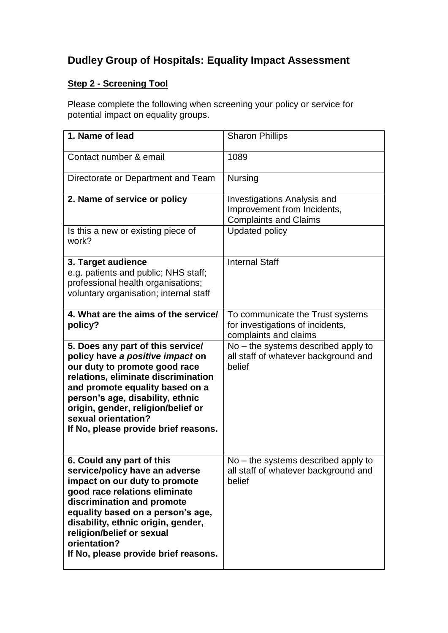# **Dudley Group of Hospitals: Equality Impact Assessment**

# **Step 2 - Screening Tool**

Please complete the following when screening your policy or service for potential impact on equality groups.

| 1. Name of lead                                                                                                                                                                                                                                                                                                             | <b>Sharon Phillips</b>                                                                            |
|-----------------------------------------------------------------------------------------------------------------------------------------------------------------------------------------------------------------------------------------------------------------------------------------------------------------------------|---------------------------------------------------------------------------------------------------|
| Contact number & email                                                                                                                                                                                                                                                                                                      | 1089                                                                                              |
| Directorate or Department and Team                                                                                                                                                                                                                                                                                          | <b>Nursing</b>                                                                                    |
| 2. Name of service or policy                                                                                                                                                                                                                                                                                                | <b>Investigations Analysis and</b><br>Improvement from Incidents,<br><b>Complaints and Claims</b> |
| Is this a new or existing piece of<br>work?                                                                                                                                                                                                                                                                                 | <b>Updated policy</b>                                                                             |
| 3. Target audience<br>e.g. patients and public; NHS staff;<br>professional health organisations;<br>voluntary organisation; internal staff                                                                                                                                                                                  | <b>Internal Staff</b>                                                                             |
| 4. What are the aims of the service/<br>policy?                                                                                                                                                                                                                                                                             | To communicate the Trust systems<br>for investigations of incidents,<br>complaints and claims     |
| 5. Does any part of this service/<br>policy have a positive impact on<br>our duty to promote good race<br>relations, eliminate discrimination<br>and promote equality based on a<br>person's age, disability, ethnic<br>origin, gender, religion/belief or<br>sexual orientation?<br>If No, please provide brief reasons.   | No – the systems described apply to<br>all staff of whatever background and<br>belief             |
| 6. Could any part of this<br>service/policy have an adverse<br>impact on our duty to promote<br>good race relations eliminate<br>discrimination and promote<br>equality based on a person's age,<br>disability, ethnic origin, gender,<br>religion/belief or sexual<br>orientation?<br>If No, please provide brief reasons. | $No$ – the systems described apply to<br>all staff of whatever background and<br>belief           |